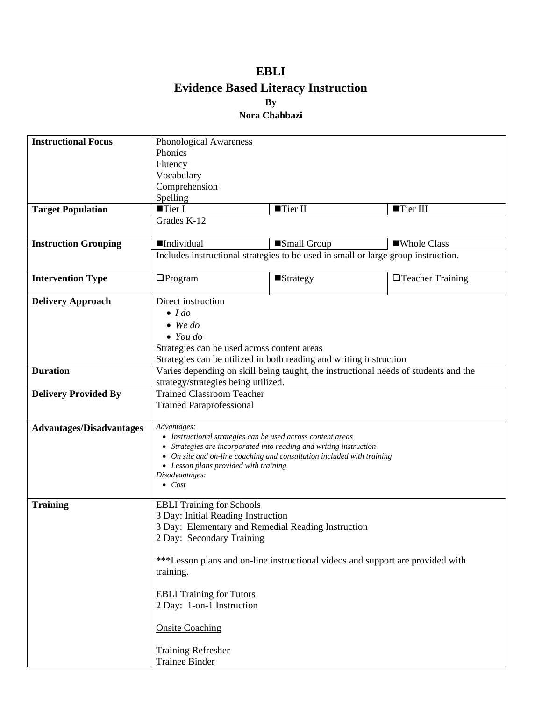## **EBLI Evidence Based Literacy Instruction By Nora Chahbazi**

| <b>Instructional Focus</b>      | Phonological Awareness                                                                                                                                    |                                                                                |                         |  |
|---------------------------------|-----------------------------------------------------------------------------------------------------------------------------------------------------------|--------------------------------------------------------------------------------|-------------------------|--|
|                                 | Phonics                                                                                                                                                   |                                                                                |                         |  |
|                                 | Fluency                                                                                                                                                   |                                                                                |                         |  |
|                                 | Vocabulary                                                                                                                                                |                                                                                |                         |  |
|                                 | Comprehension                                                                                                                                             |                                                                                |                         |  |
|                                 | Spelling                                                                                                                                                  |                                                                                |                         |  |
| <b>Target Population</b>        | $\blacksquare$ Tier I                                                                                                                                     | Tier II                                                                        | ■Tier III               |  |
|                                 | Grades K-12                                                                                                                                               |                                                                                |                         |  |
| <b>Instruction Grouping</b>     | <b>Individual</b>                                                                                                                                         | Small Group                                                                    | ■Whole Class            |  |
|                                 | Includes instructional strategies to be used in small or large group instruction.                                                                         |                                                                                |                         |  |
| <b>Intervention Type</b>        | $\Box$ Program                                                                                                                                            | $\blacksquare$ Strategy                                                        | $\Box$ Teacher Training |  |
| <b>Delivery Approach</b>        | Direct instruction<br>$\bullet$ <i>I do</i>                                                                                                               |                                                                                |                         |  |
|                                 |                                                                                                                                                           |                                                                                |                         |  |
|                                 | $\bullet$ We do                                                                                                                                           |                                                                                |                         |  |
|                                 | $\bullet$ You do                                                                                                                                          |                                                                                |                         |  |
|                                 |                                                                                                                                                           | Strategies can be used across content areas                                    |                         |  |
|                                 |                                                                                                                                                           |                                                                                |                         |  |
| <b>Duration</b>                 | Strategies can be utilized in both reading and writing instruction<br>Varies depending on skill being taught, the instructional needs of students and the |                                                                                |                         |  |
|                                 |                                                                                                                                                           |                                                                                |                         |  |
| <b>Delivery Provided By</b>     | strategy/strategies being utilized.<br><b>Trained Classroom Teacher</b>                                                                                   |                                                                                |                         |  |
|                                 | <b>Trained Paraprofessional</b>                                                                                                                           |                                                                                |                         |  |
|                                 |                                                                                                                                                           |                                                                                |                         |  |
| <b>Advantages/Disadvantages</b> | Advantages:                                                                                                                                               |                                                                                |                         |  |
|                                 | • Instructional strategies can be used across content areas                                                                                               |                                                                                |                         |  |
|                                 | • Strategies are incorporated into reading and writing instruction                                                                                        |                                                                                |                         |  |
|                                 | • On site and on-line coaching and consultation included with training                                                                                    |                                                                                |                         |  |
|                                 | • Lesson plans provided with training<br>Disadvantages:                                                                                                   |                                                                                |                         |  |
|                                 | $\bullet$ Cost                                                                                                                                            |                                                                                |                         |  |
|                                 |                                                                                                                                                           |                                                                                |                         |  |
| <b>Training</b>                 | <b>EBLI Training for Schools</b>                                                                                                                          |                                                                                |                         |  |
|                                 | 3 Day: Initial Reading Instruction<br>3 Day: Elementary and Remedial Reading Instruction                                                                  |                                                                                |                         |  |
|                                 |                                                                                                                                                           |                                                                                |                         |  |
|                                 | 2 Day: Secondary Training                                                                                                                                 |                                                                                |                         |  |
|                                 |                                                                                                                                                           |                                                                                |                         |  |
|                                 |                                                                                                                                                           | ***Lesson plans and on-line instructional videos and support are provided with |                         |  |
|                                 | training.                                                                                                                                                 |                                                                                |                         |  |
|                                 |                                                                                                                                                           |                                                                                |                         |  |
|                                 | <b>EBLI Training for Tutors</b>                                                                                                                           |                                                                                |                         |  |
|                                 | 2 Day: 1-on-1 Instruction                                                                                                                                 |                                                                                |                         |  |
|                                 | <b>Onsite Coaching</b>                                                                                                                                    |                                                                                |                         |  |
|                                 | <b>Training Refresher</b>                                                                                                                                 |                                                                                |                         |  |
|                                 | <b>Trainee Binder</b>                                                                                                                                     |                                                                                |                         |  |